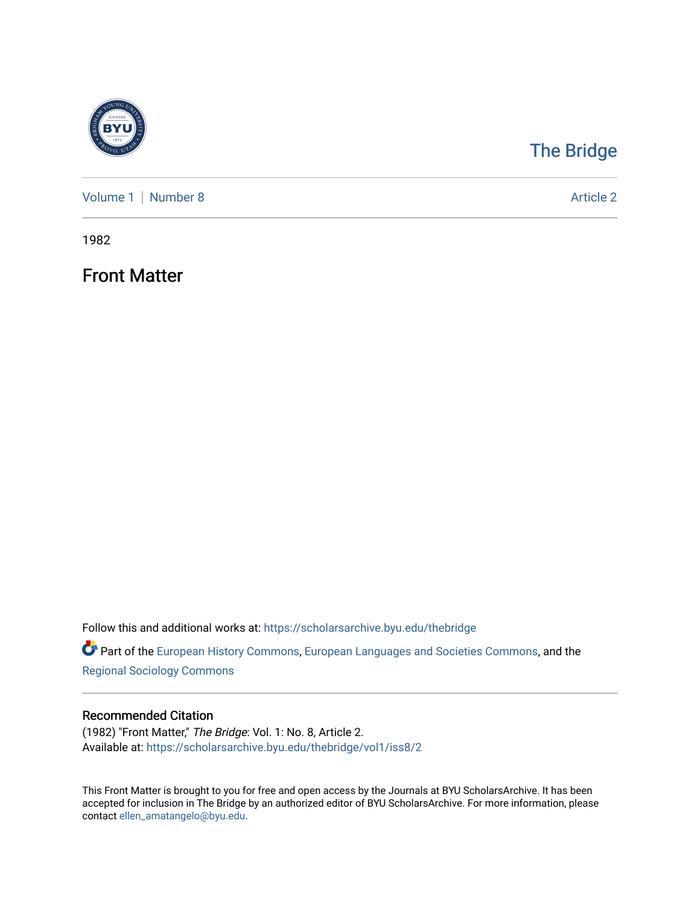

## [The Bridge](https://scholarsarchive.byu.edu/thebridge)

[Volume 1](https://scholarsarchive.byu.edu/thebridge/vol1) | [Number 8](https://scholarsarchive.byu.edu/thebridge/vol1/iss8) Article 2

1982

Front Matter

Follow this and additional works at: [https://scholarsarchive.byu.edu/thebridge](https://scholarsarchive.byu.edu/thebridge?utm_source=scholarsarchive.byu.edu%2Fthebridge%2Fvol1%2Fiss8%2F2&utm_medium=PDF&utm_campaign=PDFCoverPages) 

**Part of the [European History Commons](http://network.bepress.com/hgg/discipline/492?utm_source=scholarsarchive.byu.edu%2Fthebridge%2Fvol1%2Fiss8%2F2&utm_medium=PDF&utm_campaign=PDFCoverPages), [European Languages and Societies Commons,](http://network.bepress.com/hgg/discipline/482?utm_source=scholarsarchive.byu.edu%2Fthebridge%2Fvol1%2Fiss8%2F2&utm_medium=PDF&utm_campaign=PDFCoverPages) and the** [Regional Sociology Commons](http://network.bepress.com/hgg/discipline/427?utm_source=scholarsarchive.byu.edu%2Fthebridge%2Fvol1%2Fiss8%2F2&utm_medium=PDF&utm_campaign=PDFCoverPages) 

## Recommended Citation

(1982) "Front Matter," The Bridge: Vol. 1: No. 8, Article 2. Available at: [https://scholarsarchive.byu.edu/thebridge/vol1/iss8/2](https://scholarsarchive.byu.edu/thebridge/vol1/iss8/2?utm_source=scholarsarchive.byu.edu%2Fthebridge%2Fvol1%2Fiss8%2F2&utm_medium=PDF&utm_campaign=PDFCoverPages)

This Front Matter is brought to you for free and open access by the Journals at BYU ScholarsArchive. It has been accepted for inclusion in The Bridge by an authorized editor of BYU ScholarsArchive. For more information, please contact [ellen\\_amatangelo@byu.edu.](mailto:ellen_amatangelo@byu.edu)